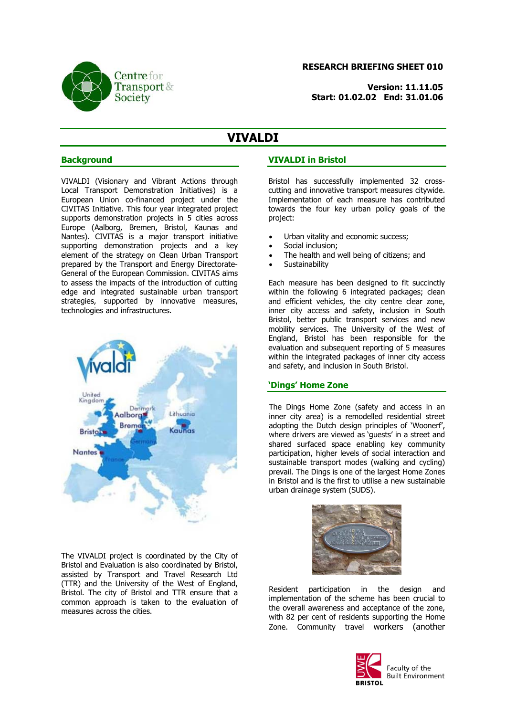

#### **RESEARCH BRIEFING SHEET 010**

**Version: 11.11.05 Start: 01.02.02 End: 31.01.06**

# **VIVALDI**

#### **Background**

VIVALDI (Visionary and Vibrant Actions through Local Transport Demonstration Initiatives) is a European Union co-financed project under the CIVITAS Initiative. This four year integrated project supports demonstration projects in 5 cities across Europe (Aalborg, Bremen, Bristol, Kaunas and Nantes). CIVITAS is a major transport initiative supporting demonstration projects and a key element of the strategy on Clean Urban Transport prepared by the Transport and Energy Directorate-General of the European Commission. CIVITAS aims to assess the impacts of the introduction of cutting edge and integrated sustainable urban transport strategies, supported by innovative measures, technologies and infrastructures.



The VIVALDI project is coordinated by the City of Bristol and Evaluation is also coordinated by Bristol, assisted by Transport and Travel Research Ltd (TTR) and the University of the West of England, Bristol. The city of Bristol and TTR ensure that a common approach is taken to the evaluation of measures across the cities.

#### **VIVALDI in Bristol**

Bristol has successfully implemented 32 crosscutting and innovative transport measures citywide. Implementation of each measure has contributed towards the four key urban policy goals of the project:

- Urban vitality and economic success;
- Social inclusion;
- The health and well being of citizens; and
- **Sustainability**

Each measure has been designed to fit succinctly within the following 6 integrated packages; clean and efficient vehicles, the city centre clear zone, inner city access and safety, inclusion in South Bristol, better public transport services and new mobility services. The University of the West of England, Bristol has been responsible for the evaluation and subsequent reporting of 5 measures within the integrated packages of inner city access and safety, and inclusion in South Bristol.

## **'Dings' Home Zone**

The Dings Home Zone (safety and access in an inner city area) is a remodelled residential street adopting the Dutch design principles of 'Woonerf', where drivers are viewed as 'guests' in a street and shared surfaced space enabling key community participation, higher levels of social interaction and sustainable transport modes (walking and cycling) prevail. The Dings is one of the largest Home Zones in Bristol and is the first to utilise a new sustainable urban drainage system (SUDS).



Resident participation in the design and implementation of the scheme has been crucial to the overall awareness and acceptance of the zone, with 82 per cent of residents supporting the Home Zone. Community travel workers (another



Faculty of the **Built Environment**